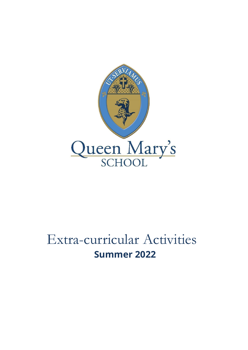

# Extra-curricular Activities **Summer 2022**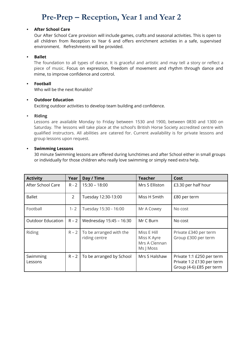# **Pre-Prep – Reception, Year 1 and Year 2**

#### **• After School Care**

Our After School Care provision will include games, crafts and seasonal activities. This is open to all children from Reception to Year 6 and offers enrichment activities in a safe, supervised environment. Refreshments will be provided.

#### **• Ballet**

The foundation to all types of dance. It is graceful and artistic and may tell a story or reflect a piece of music. Focus on expression, freedom of movement and rhythm through dance and mime, to improve confidence and control.

#### **• Football**

Who will be the next Ronaldo?

#### **• Outdoor Education**

Exciting outdoor activities to develop team building and confidence.

#### **• Riding**

Lessons are available Monday to Friday between 1530 and 1900, between 0830 and 1300 on Saturday. The lessons will take place at the school's British Horse Society accredited centre with qualified instructors. All abilities are catered for. Current availability is for private lessons and group lessons upon request.

#### **• Swimming Lessons**

30 minute Swimming lessons are offered during lunchtimes and after School either in small groups or individually for those children who really love swimming or simply need extra help.

| <b>Activity</b>          | Year           | Day / Time                               | Teacher                                                  | Cost                                                                               |
|--------------------------|----------------|------------------------------------------|----------------------------------------------------------|------------------------------------------------------------------------------------|
| After School Care        | $R - 2$        | $15:30 - 18:00$                          | Mrs S Elliston                                           | £3.30 per half hour                                                                |
| <b>Ballet</b>            | $\overline{2}$ | Tuesday 12:30-13:00                      | Miss H Smith                                             | £80 per term                                                                       |
| Football                 | $1 - 2$        | Tuesday 15:30 - 16:00                    | Mr A Cowey                                               | No cost                                                                            |
| <b>Outdoor Education</b> | $R - 2$        | Wednesday 15:45 - 16:30                  | Mr C Burn                                                | No cost                                                                            |
| Riding                   | $R - 2$        | To be arranged with the<br>riding centre | Miss E Hill<br>Miss K Ayre<br>Mrs A Clennan<br>Ms J Moss | Private £340 per term<br>Group £300 per term                                       |
| Swimming<br>Lessons      | $R - 2$        | To be arranged by School                 | Mrs S Halshaw                                            | Private 1:1 £250 per term<br>Private 1:2 £130 per term<br>Group (4-6) £85 per term |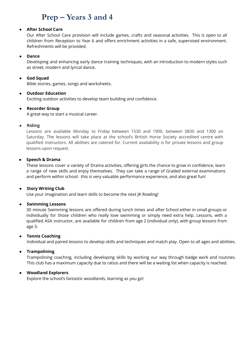# **Prep – Years 3 and 4**

#### **● After School Care**

Our After School Care provision will include games, crafts and seasonal activities. This is open to all children from Reception to Year 6 and offers enrichment activities in a safe, supervised environment. Refreshments will be provided.

#### **● Dance**

Developing and enhancing early dance training techniques, with an introduction to modern styles such as street, modern and lyrical dance.

#### **● God Squad**

Bible stories, games, songs and worksheets.

#### **● Outdoor Education**

Exciting outdoor activities to develop team building and confidence.

#### **● Recorder Group**

A great way to start a musical career.

#### **● Riding**

Lessons are available Monday to Friday between 1530 and 1900, between 0830 and 1300 on Saturday. The lessons will take place at the school's British Horse Society accredited centre with qualified instructors. All abilities are catered for. Current availability is for private lessons and group lessons upon request.

#### **● Speech & Drama**

These lessons cover a variety of Drama activities, offering girls the chance to grow in confidence, learn a range of new skills and enjoy themselves. They can take a range of Graded external examinations and perform within school: this is very valuable performance experience, and also great fun!

#### **● Story Writing Club**

Use your imagination and learn skills to become the next JK Rowling!

#### **● Swimming Lessons**

30 minute Swimming lessons are offered during lunch times and after School either in small groups or individually for those children who really love swimming or simply need extra help. Lessons, with a qualified ASA instructor, are available for children from age 2 (individual only), with group lessons from age 3.

#### **● Tennis Coaching**

Individual and paired lessons to develop skills and techniques and match play. Open to all ages and abilities.

#### **● Trampolining**

Trampolining coaching, including developing skills by working our way through badge work and routines. This club has a maximum capacity due to ratios and there will be a waiting list when capacity is reached.

#### **● Woodland Explorers**

Explore the school's fantastic woodlands, learning as you go!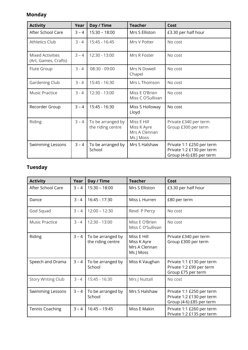### **Monday**

| <b>Activity</b>                                 | Year    | Day / Time                             | <b>Teacher</b>                                           | Cost                                                                               |
|-------------------------------------------------|---------|----------------------------------------|----------------------------------------------------------|------------------------------------------------------------------------------------|
| After School Care                               | $3 - 4$ | $15:30 - 18:00$                        | Mrs S Elliston                                           | £3.30 per half hour                                                                |
| <b>Athletics Club</b>                           | $3 - 4$ | 15:45 - 16:45                          | Mrs V Potter                                             | No cost                                                                            |
| <b>Mixed Activities</b><br>(Art, Games, Crafts) | $3 - 4$ | 12:30 - 13:00                          | Mrs R Foster                                             | No cost                                                                            |
| Flute Group                                     | $3 - 4$ | $08:30 - 09:00$                        | Mrs N Dowell<br>Chapel                                   | No cost                                                                            |
| Gardening Club                                  | $3 - 4$ | 15:45 - 16:30                          | Mrs L Thomson                                            | No cost                                                                            |
| <b>Music Practice</b>                           | $3 - 4$ | 12:30 - 13:00                          | Miss E O'Brien<br>Miss C O'Sullivan                      | No cost                                                                            |
| Recorder Group                                  | $3 - 4$ | 15:45 - 16:30                          | Miss S Holloway<br>Lloyd                                 | No cost                                                                            |
| Riding                                          | $3 - 4$ | To be arranged by<br>the riding centre | Miss E Hill<br>Miss K Ayre<br>Mrs A Clennan<br>Ms J Moss | Private £340 per term<br>Group £300 per term                                       |
| Swimming Lessons                                | $3 - 4$ | To be arranged by<br>School            | Mrs S Halshaw                                            | Private 1:1 £250 per term<br>Private 1:2 £130 per term<br>Group (4-6) £85 per term |

### **Tuesday**

| <b>Activity</b>           | Year    | Day / Time                             | <b>Teacher</b>                                           | Cost                                                                               |
|---------------------------|---------|----------------------------------------|----------------------------------------------------------|------------------------------------------------------------------------------------|
| After School Care         | $3 - 4$ | $15:30 - 18:00$                        | Mrs S Elliston                                           | £3.30 per half hour                                                                |
| Dance                     | $3 - 4$ | 16:45 - 17:30                          | Miss I Hurren                                            | £80 per term                                                                       |
| God Squad                 | $3 - 4$ | $12:00 - 12:30$                        | Revd P Percy                                             | No cost                                                                            |
| <b>Music Practice</b>     | $3 - 4$ | 12:30 - 13:00                          | Miss E O'Brien<br>Miss C O'Sullivan                      | No cost                                                                            |
| Riding                    | $3 - 4$ | To be arranged by<br>the riding centre | Miss E Hill<br>Miss K Ayre<br>Mrs A Clennan<br>Ms J Moss | Private £340 per term<br>Group £300 per term                                       |
| Speech and Drama          | $3 - 4$ | To be arranged by<br>School            | Miss K Vaughan                                           | Private 1:1 £130 per term<br>Private 1:2 £90 per term<br>Group £75 per term        |
| <b>Story Writing Club</b> | $3 - 4$ | 15:45 - 16:30                          | Mrs J Nuttall                                            | No cost                                                                            |
| Swimming Lessons          | $3 - 4$ | To be arranged by<br>School            | Mrs S Halshaw                                            | Private 1:1 £250 per term<br>Private 1:2 £130 per term<br>Group (4-6) £85 per term |
| <b>Tennis Coaching</b>    | $3 - 4$ | $16:45 - 19:45$                        | Miss E Makin                                             | Private 1:1 £260 per term<br>Private 1:2 £135 per term                             |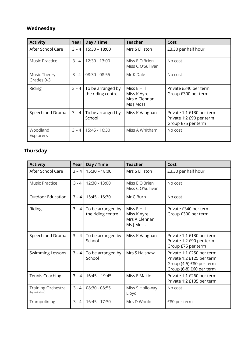### **Wednesday**

| <b>Activity</b>            | Year    | Day / Time                             | <b>Teacher</b>                                           | Cost                                                                        |
|----------------------------|---------|----------------------------------------|----------------------------------------------------------|-----------------------------------------------------------------------------|
| After School Care          | $3 - 4$ | $15:30 - 18:00$                        | Mrs S Elliston                                           | £3.30 per half hour                                                         |
| <b>Music Practice</b>      | $3 - 4$ | 12:30 - 13:00                          | Miss E O'Brien<br>Miss C O'Sullivan                      | No cost                                                                     |
| Music Theory<br>Grades 0-3 | $3 - 4$ | $08:30 - 08:55$                        | Mr K Dale                                                | No cost                                                                     |
| Riding                     | $3 - 4$ | To be arranged by<br>the riding centre | Miss E Hill<br>Miss K Ayre<br>Mrs A Clennan<br>Ms J Moss | Private £340 per term<br>Group £300 per term                                |
| Speech and Drama           | $3 - 4$ | To be arranged by<br>School            | Miss K Vaughan                                           | Private 1:1 £130 per term<br>Private 1:2 £90 per term<br>Group £75 per term |
| Woodland<br>Explorers      | $3 - 4$ | 15:45 - 16:30                          | Miss A Whitham                                           | No cost                                                                     |

### **Thursday**

| <b>Activity</b>                       | Year    | Day / Time                             | <b>Teacher</b>                                           | Cost                                                                                                           |
|---------------------------------------|---------|----------------------------------------|----------------------------------------------------------|----------------------------------------------------------------------------------------------------------------|
| After School Care                     | $3 - 4$ | $15:30 - 18:00$                        | Mrs S Elliston                                           | £3.30 per half hour                                                                                            |
| <b>Music Practice</b>                 | $3 - 4$ | 12:30 - 13:00                          | Miss E O'Brien<br>Miss C O'Sullivan                      | No cost                                                                                                        |
| <b>Outdoor Education</b>              | $3 - 4$ | 15:45 - 16:30                          | Mr C Burn                                                | No cost                                                                                                        |
| Riding                                | $3 - 4$ | To be arranged by<br>the riding centre | Miss F Hill<br>Miss K Ayre<br>Mrs A Clennan<br>Ms J Moss | Private £340 per term<br>Group £300 per term                                                                   |
| Speech and Drama                      | $3 - 4$ | To be arranged by<br>School            | Miss K Vaughan                                           | Private 1:1 £130 per term<br>Private 1:2 £90 per term<br>Group £75 per term                                    |
| <b>Swimming Lessons</b>               | $3 - 4$ | To be arranged by<br>School            | Mrs S Halshaw                                            | Private 1:1 £250 per term<br>Private 1:2 £125 per term<br>Group (4-5) £80 per term<br>Group (6-8) £60 per term |
| <b>Tennis Coaching</b>                | $3 - 4$ | $16:45 - 19:45$                        | Miss E Makin                                             | Private 1:1 £260 per term<br>Private 1:2 £135 per term                                                         |
| Training Orchestra<br>(by invitation) | $3 - 4$ | $08:30 - 08:55$                        | Miss S Holloway<br>Lloyd                                 | No cost                                                                                                        |
| Trampolining                          | $3 - 4$ | 16:45 - 17:30                          | Mrs D Would                                              | £80 per term                                                                                                   |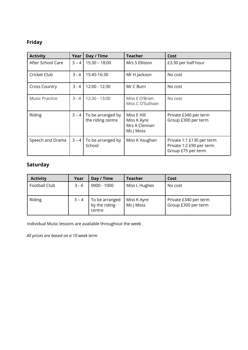### **Friday**

| <b>Activity</b>       | Year    | Day / Time                             | <b>Teacher</b>                                           | Cost                                                                        |
|-----------------------|---------|----------------------------------------|----------------------------------------------------------|-----------------------------------------------------------------------------|
| After School Care     | $3 - 4$ | $15:30 - 18:00$                        | Mrs S Elliston                                           | £3.30 per half hour                                                         |
| Cricket Club          | $3 - 4$ | 15:45-16:30                            | Mr H Jackson                                             | No cost                                                                     |
| <b>Cross Country</b>  | $3 - 4$ | 12:00 - 12:30                          | Mr C Burn                                                | No cost                                                                     |
| <b>Music Practice</b> | $3 - 4$ | 12:30 - 13:00                          | Miss E O'Brien<br>Miss C O'Sullivan                      | No cost                                                                     |
| Riding                | $3 - 4$ | To be arranged by<br>the riding centre | Miss E Hill<br>Miss K Ayre<br>Mrs A Clennan<br>Ms J Moss | Private £340 per term<br>Group £300 per term                                |
| Speech and Drama      | $3 - 4$ | To be arranged by<br>School            | Miss K Vaughan                                           | Private 1:1 £130 per term<br>Private 1:2 £90 per term<br>Group £75 per term |

### **Saturday**

| <b>Activity</b> | Year    | Day / Time                                | Teacher                  | Cost                                         |
|-----------------|---------|-------------------------------------------|--------------------------|----------------------------------------------|
| Football Club   | $3 - 4$ | 0900 - 1000                               | Miss L Hughes            | No cost                                      |
| Riding          | $3 - 4$ | To be arranged<br>by the riding<br>centre | Miss K Ayre<br>Ms   Moss | Private £340 per term<br>Group £300 per term |

Individual Music lessons are available throughout the week

*All prices are based on a 10 week term*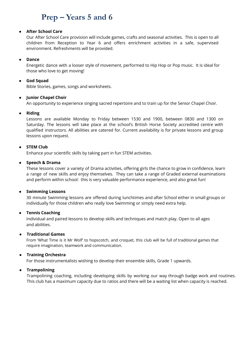# **Prep – Years 5 and 6**

#### **● After School Care**

Our After School Care provision will include games, crafts and seasonal activities. This is open to all children from Reception to Year 6 and offers enrichment activities in a safe, supervised environment. Refreshments will be provided.

#### **● Dance**

Energetic dance with a looser style of movement, performed to Hip Hop or Pop music. It is ideal for those who love to get moving!

#### **● God Squad**

Bible Stories, games, songs and worksheets.

#### **● Junior Chapel Choir**

An opportunity to experience singing sacred repertoire and to train up for the Senior Chapel Choir.

#### **● Riding**

Lessons are available Monday to Friday between 1530 and 1900, between 0830 and 1300 on Saturday. The lessons will take place at the school's British Horse Society accredited centre with qualified instructors. All abilities are catered for. Current availability is for private lessons and group lessons upon request.

#### **● STEM Club**

Enhance your scientific skills by taking part in fun STEM activities.

#### **● Speech & Drama**

These lessons cover a variety of Drama activities, offering girls the chance to grow in confidence, learn a range of new skills and enjoy themselves. They can take a range of Graded external examinations and perform within school: this is very valuable performance experience, and also great fun!

#### **● Swimming Lessons**

30 minute Swimming lessons are offered during lunchtimes and after School either in small groups or individually for those children who really love Swimming or simply need extra help.

#### **● Tennis Coaching**

Individual and paired lessons to develop skills and techniques and match play. Open to all ages and abilities.

#### **● Traditional Games**

From 'What Time is it Mr Wolf' to hopscotch, and croquet, this club will be full of traditional games that require imagination, teamwork and communication.

#### **● Training Orchestra**

For those instrumentalists wishing to develop their ensemble skills, Grade 1 upwards.

#### **● Trampolining**

Trampolining coaching, including developing skills by working our way through badge work and routines. This club has a maximum capacity due to ratios and there will be a waiting list when capacity is reached.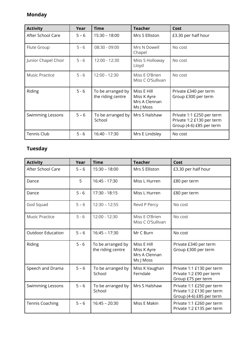### **Monday**

| <b>Activity</b>         | Year    | <b>Time</b>                            | <b>Teacher</b>                                           | Cost                                                                               |
|-------------------------|---------|----------------------------------------|----------------------------------------------------------|------------------------------------------------------------------------------------|
| After School Care       | $5 - 6$ | $15:30 - 18:00$                        | Mrs S Elliston                                           | £3.30 per half hour                                                                |
| Flute Group             | $5 - 6$ | $08:30 - 09:00$                        | Mrs N Dowell<br>Chapel                                   | No cost                                                                            |
| Junior Chapel Choir     | $5 - 6$ | $12:00 - 12:30$                        | Miss S Holloway<br>Lloyd                                 | No cost                                                                            |
| <b>Music Practice</b>   | $5 - 6$ | 12:00 - 12:30                          | Miss E O'Brien<br>Miss C O'Sullivan                      | No cost                                                                            |
| Riding                  | $5 - 6$ | To be arranged by<br>the riding centre | Miss E Hill<br>Miss K Ayre<br>Mrs A Clennan<br>Ms J Moss | Private £340 per term<br>Group £300 per term                                       |
| <b>Swimming Lessons</b> | $5 - 6$ | To be arranged by<br>School            | Mrs S Halshaw                                            | Private 1:1 £250 per term<br>Private 1:2 £130 per term<br>Group (4-6) £85 per term |
| Tennis Club             | $5 - 6$ | 16:40 - 17:30                          | Mrs E Lindsley                                           | No cost                                                                            |

### **Tuesday**

| <b>Activity</b>          | Year    | <b>Time</b>                            | <b>Teacher</b>                                           | Cost                                                                               |
|--------------------------|---------|----------------------------------------|----------------------------------------------------------|------------------------------------------------------------------------------------|
| After School Care        | $5 - 6$ | $15:30 - 18:00$                        | Mrs S Elliston                                           | £3.30 per half hour                                                                |
| Dance                    | 5       | 16:45 - 17:30                          | Miss L Hurren                                            | £80 per term                                                                       |
| Dance                    | $5 - 6$ | 17:30 - 18:15                          | Miss L Hurren                                            | £80 per term                                                                       |
| God Squad                | $5 - 6$ | $12:30 - 12:55$                        | Revd P Percy                                             | No cost                                                                            |
| <b>Music Practice</b>    | $5 - 6$ | 12:00 - 12:30                          | Miss E O'Brien<br>Miss C O'Sullivan                      | No cost                                                                            |
| <b>Outdoor Education</b> | $5 - 6$ | $16:45 - 17:30$                        | Mr C Burn                                                | No cost                                                                            |
| Riding                   | $5 - 6$ | To be arranged by<br>the riding centre | Miss E Hill<br>Miss K Ayre<br>Mrs A Clennan<br>Ms J Moss | Private £340 per term<br>Group £300 per term                                       |
| Speech and Drama         | $5 - 6$ | To be arranged by<br>School            | Miss K Vaughan<br>Ferndale                               | Private 1:1 £130 per term<br>Private 1:2 £90 per term<br>Group £75 per term        |
| <b>Swimming Lessons</b>  | $5 - 6$ | To be arranged by<br>School            | Mrs S Halshaw                                            | Private 1:1 £250 per term<br>Private 1:2 £130 per term<br>Group (4-6) £85 per term |
| <b>Tennis Coaching</b>   | $5 - 6$ | $16:45 - 20:30$                        | Miss E Makin                                             | Private 1:1 £260 per term<br>Private 1:2 £135 per term                             |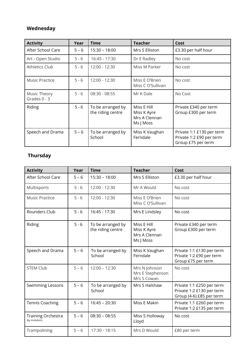### **Wednesday**

| <b>Activity</b>              | Year    | <b>Time</b>                            | <b>Teacher</b>                                           | Cost                                                                        |
|------------------------------|---------|----------------------------------------|----------------------------------------------------------|-----------------------------------------------------------------------------|
| After School Care            | $5 - 6$ | $15:30 - 18:00$                        | Mrs S Elliston                                           | £3.30 per half hour                                                         |
| Art - Open Studio            | $5 - 6$ | $16:45 - 17:30$                        | Dr E Radley                                              | No cost                                                                     |
| Athletics Club               | $5 - 6$ | $12:00 - 12:30$                        | Miss M Parker                                            | No cost                                                                     |
| <b>Music Practice</b>        | $5 - 6$ | 12:00 - 12:30                          | Miss E O'Brien<br>Miss C O'Sullivan                      | No cost                                                                     |
| Music Theory<br>Grades 0 - 3 | $5 - 6$ | $08:30 - 08:55$                        | Mr K Dale                                                | No Cost                                                                     |
| Riding                       | $5 - 6$ | To be arranged by<br>the riding centre | Miss E Hill<br>Miss K Ayre<br>Mrs A Clennan<br>Ms   Moss | Private £340 per term<br>Group £300 per term                                |
| Speech and Drama             | $5 - 6$ | To be arranged by<br>School            | Miss K Vaughan<br>Ferndale                               | Private 1:1 £130 per term<br>Private 1:2 £90 per term<br>Group £75 per term |

### **Thursday**

| <b>Activity</b>                              | Year    | <b>Time</b>                            | <b>Teacher</b>                                           | Cost                                                                               |
|----------------------------------------------|---------|----------------------------------------|----------------------------------------------------------|------------------------------------------------------------------------------------|
| <b>After School Care</b>                     | $5 - 6$ | $15:30 - 18:00$                        | Mrs S Elliston                                           | £3.30 per half hour                                                                |
| Multisports                                  | $5 - 6$ | 12:00 - 12:30                          | Mr A Would                                               | No cost                                                                            |
| <b>Music Practice</b>                        | $5 - 6$ | 12:00 - 12:30                          | Miss E O'Brien<br>Miss C O'Sullivan                      | No cost                                                                            |
| Rounders Club                                | $5 - 6$ | 16:45 - 17:30                          | Mrs E Lindsley                                           | No cost                                                                            |
| Riding                                       | $5 - 6$ | To be arranged by<br>the riding centre | Miss E Hill<br>Miss K Ayre<br>Mrs A Clennan<br>Ms J Moss | Private £340 per term<br>Group £300 per term                                       |
| Speech and Drama                             | $5 - 6$ | To be arranged by<br>School            | Miss K Vaughan<br>Ferndale                               | Private 1:1 £130 per term<br>Private 1:2 £90 per term<br>Group £75 per term        |
| <b>STEM Club</b>                             | $5 - 6$ | $12:00 - 12:30$                        | Mrs N Johnson<br>Mrs E Stephenson<br>Mrs S Cowan         | No cost                                                                            |
| <b>Swimming Lessons</b>                      | $5 - 6$ | To be arranged by<br>School            | Mrs S Halshaw                                            | Private 1:1 £250 per term<br>Private 1:2 £130 per term<br>Group (4-6) £85 per term |
| <b>Tennis Coaching</b>                       | $5 - 6$ | $16:45 - 20:30$                        | Miss E Makin                                             | Private 1:1 £260 per term<br>Private 1:2 £135 per term                             |
| <b>Training Orchestra</b><br>(by invitation) | $5 - 6$ | $08:30 - 08:55$                        | Miss S Holloway<br>Lloyd                                 | No cost                                                                            |
| Trampolining                                 | $5 - 6$ | 17:30 - 18:15                          | Mrs D Would                                              | £80 per term                                                                       |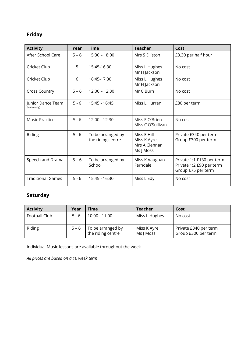### **Friday**

| <b>Activity</b>                    | Year    | <b>Time</b>                            | <b>Teacher</b>                                           | Cost                                                                        |
|------------------------------------|---------|----------------------------------------|----------------------------------------------------------|-----------------------------------------------------------------------------|
| After School Care                  | $5 - 6$ | $15:30 - 18:00$                        | Mrs S Elliston                                           | £3.30 per half hour                                                         |
| Cricket Club                       | 5       | 15:45-16:30                            | Miss L Hughes<br>Mr H Jackson                            | No cost                                                                     |
| Cricket Club                       | 6       | 16:45-17:30                            | Miss L Hughes<br>Mr H Jackson                            | No cost                                                                     |
| <b>Cross Country</b>               | $5 - 6$ | $12:00 - 12:30$                        | Mr C Burn                                                | No cost                                                                     |
| Junior Dance Team<br>(invite only) | $5 - 6$ | 15:45 - 16:45                          | Miss L Hurren                                            | £80 per term                                                                |
| Music Practice                     | $5 - 6$ | 12:00 - 12:30                          | Miss E O'Brien<br>Miss C O'Sullivan                      | No cost                                                                     |
| Riding                             | $5 - 6$ | To be arranged by<br>the riding centre | Miss E Hill<br>Miss K Ayre<br>Mrs A Clennan<br>Ms J Moss | Private £340 per term<br>Group £300 per term                                |
| Speech and Drama                   | $5 - 6$ | To be arranged by<br>School            | Miss K Vaughan<br>Ferndale                               | Private 1:1 £130 per term<br>Private 1:2 £90 per term<br>Group £75 per term |
| <b>Traditional Games</b>           | $5 - 6$ | 15:45 - 16:30                          | Miss L Edy                                               | No cost                                                                     |

### **Saturday**

| <b>Activity</b> | Year    | <b>Time</b>                            | Teacher                  | Cost                                         |
|-----------------|---------|----------------------------------------|--------------------------|----------------------------------------------|
| Football Club   | $5 - 6$ | 10:00 - 11:00                          | Miss L Hughes            | No cost                                      |
| Riding          | $5 - 6$ | To be arranged by<br>the riding centre | Miss K Ayre<br>Ms   Moss | Private £340 per term<br>Group £300 per term |

Individual Music lessons are available throughout the week

*All prices are based on a 10 week term*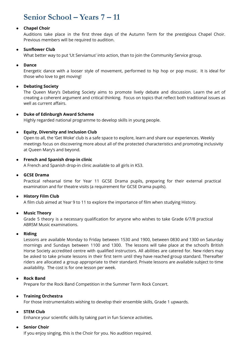# **Senior School – Years 7 – 11**

#### **● Chapel Choir**

Auditions take place in the first three days of the Autumn Term for the prestigious Chapel Choir. Previous members will be required to audition.

#### **● Sunflower Club**

What better way to put 'Ut Serviamus' into action, than to join the Community Service group.

#### **● Dance**

Energetic dance with a looser style of movement, performed to hip hop or pop music. It is ideal for those who love to get moving!

#### **● Debating Society**

The Queen Mary's Debating Society aims to promote lively debate and discussion. Learn the art of creating a coherent argument and critical thinking. Focus on topics that reflect both traditional issues as well as current affairs.

#### **● Duke of Edinburgh Award Scheme**

Highly regarded national programme to develop skills in young people.

#### **● Equity, Diversity and Inclusion Club**

Open to all, the 'Get Woke' club is a safe space to explore, learn and share our experiences. Weekly meetings focus on discovering more about all of the protected characteristics and promoting inclusivity at Queen Mary's and beyond.

#### **● French and Spanish drop-in clinic**

A French and Spanish drop-in clinic available to all girls in KS3.

#### **● GCSE Drama**

Practical rehearsal time for Year 11 GCSE Drama pupils, preparing for their external practical examination and for theatre visits (a requirement for GCSE Drama pupils).

#### **● History Film Club**

A film club aimed at Year 9 to 11 to explore the importance of film when studying History.

#### **● Music Theory**

Grade 5 theory is a necessary qualification for anyone who wishes to take Grade 6/7/8 practical ABRSM Music examinations.

#### **● Riding**

Lessons are available Monday to Friday between 1530 and 1900, between 0830 and 1300 on Saturday mornings and Sundays between 1100 and 1300. The lessons will take place at the school's British Horse Society accredited centre with qualified instructors. All abilities are catered for. New riders may be asked to take private lessons in their first term until they have reached group standard. Thereafter riders are allocated a group appropriate to their standard. Private lessons are available subject to time availability. The cost is for one lesson per week.

#### **● Rock Band**

Prepare for the Rock Band Competition in the Summer Term Rock Concert.

#### **● Training Orchestra**

For those instrumentalists wishing to develop their ensemble skills, Grade 1 upwards.

#### **● STEM Club**

Enhance your scientific skills by taking part in fun Science activities.

#### **● Senior Choir**

If you enjoy singing, this is the Choir for you. No audition required.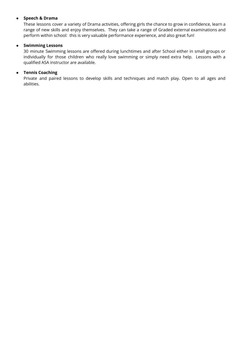#### **● Speech & Drama**

These lessons cover a variety of Drama activities, offering girls the chance to grow in confidence, learn a range of new skills and enjoy themselves. They can take a range of Graded external examinations and perform within school: this is very valuable performance experience, and also great fun!

#### **● Swimming Lessons**

30 minute Swimming lessons are offered during lunchtimes and after School either in small groups or individually for those children who really love swimming or simply need extra help. Lessons with a qualified ASA instructor are available.

#### **● Tennis Coaching**

Private and paired lessons to develop skills and techniques and match play. Open to all ages and abilities.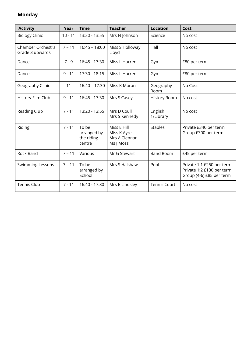### **Monday**

| <b>Activity</b>                      | Year      | <b>Time</b>                                  | <b>Teacher</b>                                           | <b>Location</b>      | Cost                                                                               |
|--------------------------------------|-----------|----------------------------------------------|----------------------------------------------------------|----------------------|------------------------------------------------------------------------------------|
| <b>Biology Clinic</b>                | $10 - 11$ | 13:30 - 13:55                                | Mrs N Johnson                                            | Science              | No cost                                                                            |
| Chamber Orchestra<br>Grade 3 upwards | $7 - 11$  | $16:45 - 18:00$                              | Miss S Holloway<br>Lloyd                                 | Hall                 | No cost                                                                            |
| Dance                                | $7 - 9$   | 16:45 - 17:30                                | Miss L Hurren                                            | Gym                  | £80 per term                                                                       |
| Dance                                | $9 - 11$  | 17:30 - 18:15                                | Miss L Hurren                                            | Gym                  | £80 per term                                                                       |
| Geography Clinic                     | 11        | $16:40 - 17:30$                              | Miss K Moran                                             | Geography<br>Room    | No Cost                                                                            |
| History Film Club                    | $9 - 11$  | 16:45 - 17:30                                | Mrs S Casey                                              | <b>History Room</b>  | No cost                                                                            |
| <b>Reading Club</b>                  | $7 - 11$  | 13:20 - 13:55                                | Mrs D Coull<br>Mrs S Kennedy                             | English<br>1/Library | No cost                                                                            |
| Riding                               | $7 - 11$  | To be<br>arranged by<br>the riding<br>centre | Miss E Hill<br>Miss K Ayre<br>Mrs A Clennan<br>Ms J Moss | <b>Stables</b>       | Private £340 per term<br>Group £300 per term                                       |
| Rock Band                            | $7 - 11$  | Various                                      | Mr G Stewart                                             | <b>Band Room</b>     | £45 per term                                                                       |
| Swimming Lessons                     | $7 - 11$  | To be<br>arranged by<br>School               | Mrs S Halshaw                                            | Pool                 | Private 1:1 £250 per term<br>Private 1:2 £130 per term<br>Group (4-6) £85 per term |
| <b>Tennis Club</b>                   | $7 - 11$  | 16:40 - 17:30                                | Mrs E Lindsley                                           | <b>Tennis Court</b>  | No cost                                                                            |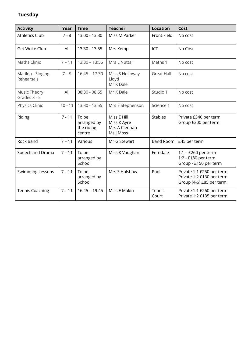### **Tuesday**

| <b>Activity</b>                 | Year      | <b>Time</b>                                  | <b>Teacher</b>                                           | <b>Location</b>   | Cost                                                                               |
|---------------------------------|-----------|----------------------------------------------|----------------------------------------------------------|-------------------|------------------------------------------------------------------------------------|
| <b>Athletics Club</b>           | $7 - 8$   | 13:00 - 13:30                                | Miss M Parker                                            | Front Field       | No cost                                                                            |
| Get Woke Club                   | All       | 13.30 - 13.55                                | Mrs Kemp                                                 | ICT               | No Cost                                                                            |
| <b>Maths Clinic</b>             | $7 - 11$  | $13:30 - 13:55$                              | Mrs L Nuttall                                            | Maths 1           | No cost                                                                            |
| Matilda - Singing<br>Rehearsals | $7 - 9$   | $16:45 - 17:30$                              | Miss S Holloway<br>Lloyd<br>Mr K Dale                    | <b>Great Hall</b> | No cost                                                                            |
| Music Theory<br>Grades 3 - 5    | All       | $08:30 - 08:55$                              | Mr K Dale                                                | Studio 1          | No cost                                                                            |
| Physics Clinic                  | $10 - 11$ | 13:30 - 13:55                                | Mrs E Stephenson                                         | Science 1         | No cost                                                                            |
| Riding                          | $7 - 11$  | To be<br>arranged by<br>the riding<br>centre | Miss E Hill<br>Miss K Ayre<br>Mrs A Clennan<br>Ms J Moss | <b>Stables</b>    | Private £340 per term<br>Group £300 per term                                       |
| Rock Band                       | $7 - 11$  | Various                                      | Mr G Stewart                                             | <b>Band Room</b>  | £45 per term                                                                       |
| Speech and Drama                | $7 - 11$  | To be<br>arranged by<br>School               | Miss K Vaughan                                           | Ferndale          | 1:1 - £260 per term<br>1:2 - £180 per term<br>Group - £150 per term                |
| <b>Swimming Lessons</b>         | $7 - 11$  | To be<br>arranged by<br>School               | Mrs S Halshaw                                            | Pool              | Private 1:1 £250 per term<br>Private 1:2 £130 per term<br>Group (4-6) £85 per term |
| <b>Tennis Coaching</b>          | $7 - 11$  | $16:45 - 19:45$                              | Miss E Makin                                             | Tennis<br>Court   | Private 1:1 £260 per term<br>Private 1:2 £135 per term                             |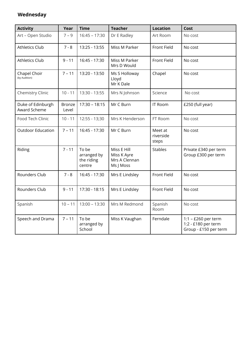### **Wednesday**

| <b>Activity</b>                   | Year                   | <b>Time</b>                                  | <b>Teacher</b>                                           | <b>Location</b>               | Cost                                                                  |
|-----------------------------------|------------------------|----------------------------------------------|----------------------------------------------------------|-------------------------------|-----------------------------------------------------------------------|
| Art - Open Studio                 | $7 - 9$                | $16:45 - 17:30$                              | Dr E Radley                                              | Art Room                      | No cost                                                               |
| <b>Athletics Club</b>             | $7 - 8$                | 13:25 - 13:55                                | Miss M Parker                                            | Front Field                   | No cost                                                               |
| <b>Athletics Club</b>             | $9 - 11$               | 16:45 - 17:30                                | Miss M Parker<br>Mrs D Would                             | Front Field                   | No cost                                                               |
| Chapel Choir<br>(by Audition)     | $7 - 11$               | 13:20 - 13:50                                | Ms S Holloway<br>Lloyd<br>Mr K Dale                      | Chapel                        | No cost                                                               |
| Chemistry Clinic                  | $10 - 11$              | 13:30 - 13:55                                | Mrs N Johnson                                            | Science                       | No cost                                                               |
| Duke of Edinburgh<br>Award Scheme | <b>Bronze</b><br>Level | $17:30 - 18:15$                              | Mr C Burn                                                | <b>IT Room</b>                | £250 (full year)                                                      |
| Food Tech Clinic                  | $10 - 11$              | 12:55 - 13;30                                | Mrs K Henderson                                          | FT Room                       | No cost                                                               |
| <b>Outdoor Education</b>          | $7 - 11$               | 16:45 - 17:30                                | Mr C Burn                                                | Meet at<br>riverside<br>steps | No cost                                                               |
| Riding                            | $7 - 11$               | To be<br>arranged by<br>the riding<br>centre | Miss E Hill<br>Miss K Ayre<br>Mrs A Clennan<br>Ms J Moss | <b>Stables</b>                | Private £340 per term<br>Group £300 per term                          |
| <b>Rounders Club</b>              | $7 - 8$                | 16:45 - 17:30                                | Mrs E Lindsley                                           | <b>Front Field</b>            | No cost                                                               |
| Rounders Club                     | $9 - 11$               | 17:30 - 18:15                                | Mrs E Lindsley                                           | Front Field                   | No cost                                                               |
| Spanish                           | $10 - 11$              | $13:00 - 13:30$                              | Mrs M Redmond                                            | Spanish<br>Room               | No cost                                                               |
| Speech and Drama                  | $7 - 11$               | To be<br>arranged by<br>School               | Miss K Vaughan                                           | Ferndale                      | 1:1 - $£260$ per term<br>1:2 - £180 per term<br>Group - £150 per term |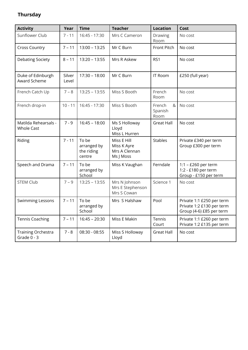### **Thursday**

| <b>Activity</b>                           | Year            | <b>Time</b>                                  | <b>Teacher</b>                                           | <b>Location</b>                             | Cost                                                                               |
|-------------------------------------------|-----------------|----------------------------------------------|----------------------------------------------------------|---------------------------------------------|------------------------------------------------------------------------------------|
| Sunflower Club                            | $7 - 11$        | 16:45 - 17:30                                | Mrs C Cameron                                            | Drawing<br>Room                             | No cost                                                                            |
| <b>Cross Country</b>                      | $7 - 11$        | $13:00 - 13:25$                              | Mr C Burn                                                | Front Pitch                                 | No cost                                                                            |
| <b>Debating Society</b>                   | $8 - 11$        | $13:20 - 13:55$                              | Mrs R Askew                                              | RS1                                         | No cost                                                                            |
| Duke of Edinburgh<br>Award Scheme         | Silver<br>Level | $17:30 - 18:00$                              | Mr C Burn                                                | <b>IT Room</b>                              | £250 (full year)                                                                   |
| French Catch Up                           | $7 - 8$         | $13:25 - 13:55$                              | Miss S Booth                                             | French<br>Room                              | No cost                                                                            |
| French drop-in                            | $10 - 11$       | 16:45 - 17:30                                | Miss S Booth                                             | French<br>8 <sub>k</sub><br>Spanish<br>Room | No cost                                                                            |
| Matilda Rehearsals -<br><b>Whole Cast</b> | $7 - 9$         | $16:45 - 18:00$                              | Ms S Holloway<br>Lloyd<br>Miss L Hurren                  | <b>Great Hall</b>                           | No cost                                                                            |
| Riding                                    | $7 - 11$        | To be<br>arranged by<br>the riding<br>centre | Miss E Hill<br>Miss K Ayre<br>Mrs A Clennan<br>Ms J Moss | <b>Stables</b>                              | Private £340 per term<br>Group £300 per term                                       |
| Speech and Drama                          | $7 - 11$        | To be<br>arranged by<br>School               | Miss K Vaughan                                           | Ferndale                                    | 1:1 - $£260$ per term<br>1:2 - £180 per term<br>Group - £150 per term              |
| <b>STEM Club</b>                          | $7 - 9$         | $13:25 - 13:55$                              | Mrs N Johnson<br>Mrs E Stephenson<br>Mrs S Cowan         | Science 1                                   | No cost                                                                            |
| Swimming Lessons                          | $7 - 11$        | To be<br>arranged by<br>School               | Mrs S Halshaw                                            | Pool                                        | Private 1:1 £250 per term<br>Private 1:2 £130 per term<br>Group (4-6) £85 per term |
| <b>Tennis Coaching</b>                    | $7 - 11$        | $16:45 - 20:30$                              | Miss E Makin                                             | Tennis<br>Court                             | Private 1:1 £260 per term<br>Private 1:2 £135 per term                             |
| Training Orchestra<br>Grade $0 - 3$       | $7 - 8$         | $08:30 - 08:55$                              | Miss S Holloway<br>Lloyd                                 | <b>Great Hall</b>                           | No cost                                                                            |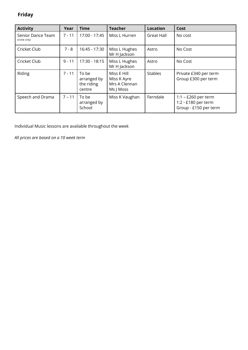### **Friday**

| <b>Activity</b>                    | Year     | <b>Time</b>                                  | <b>Teacher</b>                                           | <b>Location</b>   | Cost                                                                |
|------------------------------------|----------|----------------------------------------------|----------------------------------------------------------|-------------------|---------------------------------------------------------------------|
| Senior Dance Team<br>(invite only) | $7 - 11$ | 17:00 - 17:45                                | Miss L Hurren                                            | <b>Great Hall</b> | No cost                                                             |
| Cricket Club                       | $7 - 8$  | 16:45 - 17:30                                | Miss L Hughes<br>Mr H Jackson                            | Astro             | No Cost                                                             |
| Cricket Club                       | $9 - 11$ | 17:30 - 18:15                                | Miss L Hughes<br>Mr H Jackson                            | Astro             | No Cost                                                             |
| Riding                             | $7 - 11$ | To be<br>arranged by<br>the riding<br>centre | Miss F Hill<br>Miss K Ayre<br>Mrs A Clennan<br>Ms J Moss | <b>Stables</b>    | Private £340 per term<br>Group £300 per term                        |
| Speech and Drama                   | $7 - 11$ | To be<br>arranged by<br>School               | Miss K Vaughan                                           | Ferndale          | 1:1 - £260 per term<br>1:2 - £180 per term<br>Group - £150 per term |

Individual Music lessons are available throughout the week

*All prices are based on a 10 week term*